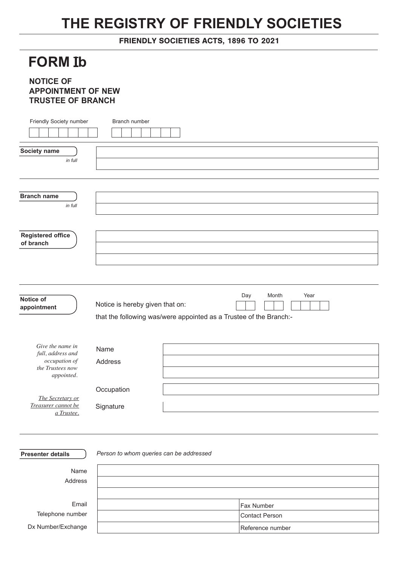## **THE REGISTRY OF FRIENDLY SOCIETIES**

FRIENDLY SOCIETIES ACTS, 1896 TO 2021

## **FORM Ib**

## **NOTICE OF APPOINTMENT OF NEW TRUSTEE OF BRANCH**

| Friendly Society number                 | Branch number                                                      |
|-----------------------------------------|--------------------------------------------------------------------|
|                                         |                                                                    |
|                                         |                                                                    |
| Society name                            |                                                                    |
| in full                                 |                                                                    |
|                                         |                                                                    |
|                                         |                                                                    |
|                                         |                                                                    |
| <b>Branch name</b>                      |                                                                    |
| in full                                 |                                                                    |
|                                         |                                                                    |
|                                         |                                                                    |
| <b>Registered office</b><br>of branch   |                                                                    |
|                                         |                                                                    |
|                                         |                                                                    |
|                                         |                                                                    |
|                                         |                                                                    |
|                                         | Day<br>Month<br>Year                                               |
| Notice of                               | Notice is hereby given that on:                                    |
| appointment                             |                                                                    |
|                                         | that the following was/were appointed as a Trustee of the Branch:- |
|                                         |                                                                    |
| Give the name in                        |                                                                    |
| full, address and                       | Name                                                               |
| occupation of                           | Address                                                            |
| the Trustees now<br>appointed.          |                                                                    |
|                                         |                                                                    |
|                                         | Occupation                                                         |
| The Secretary or<br>Treasurer cannot be | Signature                                                          |
| a Trustee.                              |                                                                    |
|                                         |                                                                    |
|                                         |                                                                    |
|                                         |                                                                    |
| <b>Presenter details</b>                | Person to whom queries can be addressed                            |
|                                         |                                                                    |
| Name                                    |                                                                    |

Address

Email Telephone number Dx Number/Exchange

| <b>Fax Number</b> |
|-------------------|
| Contact Person    |
| Reference number  |